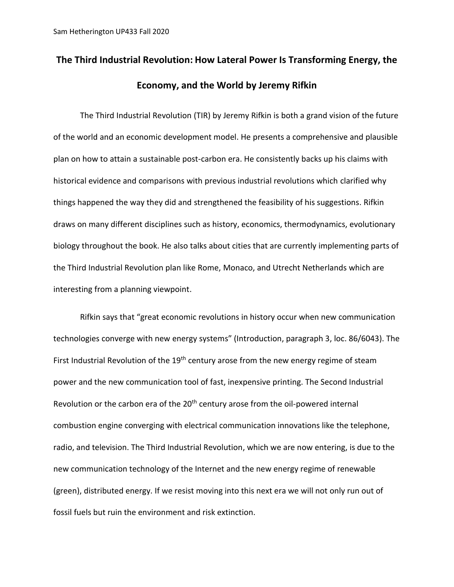## **The Third Industrial Revolution: How Lateral Power Is Transforming Energy, the Economy, and the World by Jeremy Rifkin**

The Third Industrial Revolution (TIR) by Jeremy Rifkin is both a grand vision of the future of the world and an economic development model. He presents a comprehensive and plausible plan on how to attain a sustainable post-carbon era. He consistently backs up his claims with historical evidence and comparisons with previous industrial revolutions which clarified why things happened the way they did and strengthened the feasibility of his suggestions. Rifkin draws on many different disciplines such as history, economics, thermodynamics, evolutionary biology throughout the book. He also talks about cities that are currently implementing parts of the Third Industrial Revolution plan like Rome, Monaco, and Utrecht Netherlands which are interesting from a planning viewpoint.

Rifkin says that "great economic revolutions in history occur when new communication technologies converge with new energy systems" (Introduction, paragraph 3, loc. 86/6043). The First Industrial Revolution of the 19<sup>th</sup> century arose from the new energy regime of steam power and the new communication tool of fast, inexpensive printing. The Second Industrial Revolution or the carbon era of the 20<sup>th</sup> century arose from the oil-powered internal combustion engine converging with electrical communication innovations like the telephone, radio, and television. The Third Industrial Revolution, which we are now entering, is due to the new communication technology of the Internet and the new energy regime of renewable (green), distributed energy. If we resist moving into this next era we will not only run out of fossil fuels but ruin the environment and risk extinction.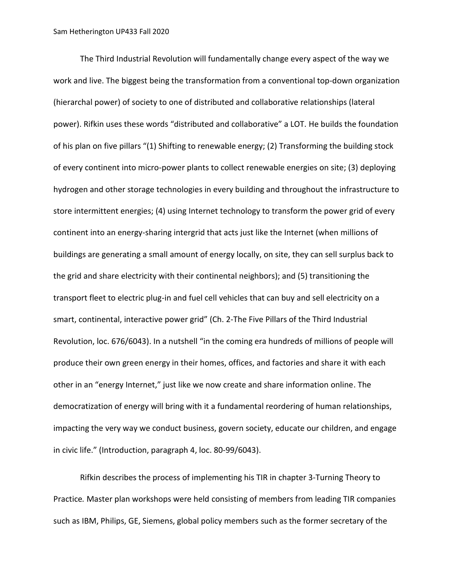The Third Industrial Revolution will fundamentally change every aspect of the way we work and live. The biggest being the transformation from a conventional top-down organization (hierarchal power) of society to one of distributed and collaborative relationships (lateral power). Rifkin uses these words "distributed and collaborative" a LOT. He builds the foundation of his plan on five pillars "(1) Shifting to renewable energy; (2) Transforming the building stock of every continent into micro-power plants to collect renewable energies on site; (3) deploying hydrogen and other storage technologies in every building and throughout the infrastructure to store intermittent energies; (4) using Internet technology to transform the power grid of every continent into an energy-sharing intergrid that acts just like the Internet (when millions of buildings are generating a small amount of energy locally, on site, they can sell surplus back to the grid and share electricity with their continental neighbors); and (5) transitioning the transport fleet to electric plug-in and fuel cell vehicles that can buy and sell electricity on a smart, continental, interactive power grid" (Ch. 2-The Five Pillars of the Third Industrial Revolution, loc. 676/6043). In a nutshell "in the coming era hundreds of millions of people will produce their own green energy in their homes, offices, and factories and share it with each other in an "energy Internet," just like we now create and share information online. The democratization of energy will bring with it a fundamental reordering of human relationships, impacting the very way we conduct business, govern society, educate our children, and engage in civic life." (Introduction, paragraph 4, loc. 80-99/6043).

Rifkin describes the process of implementing his TIR in chapter 3-Turning Theory to Practice*.* Master plan workshops were held consisting of members from leading TIR companies such as IBM, Philips, GE, Siemens, global policy members such as the former secretary of the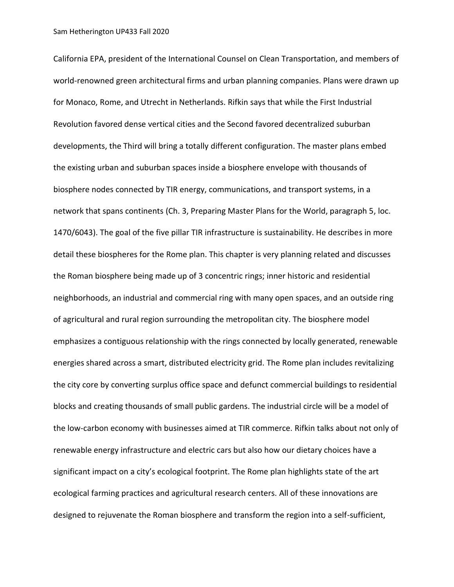California EPA, president of the International Counsel on Clean Transportation, and members of world-renowned green architectural firms and urban planning companies. Plans were drawn up for Monaco, Rome, and Utrecht in Netherlands. Rifkin says that while the First Industrial Revolution favored dense vertical cities and the Second favored decentralized suburban developments, the Third will bring a totally different configuration. The master plans embed the existing urban and suburban spaces inside a biosphere envelope with thousands of biosphere nodes connected by TIR energy, communications, and transport systems, in a network that spans continents (Ch. 3, Preparing Master Plans for the World, paragraph 5, loc. 1470/6043). The goal of the five pillar TIR infrastructure is sustainability. He describes in more detail these biospheres for the Rome plan. This chapter is very planning related and discusses the Roman biosphere being made up of 3 concentric rings; inner historic and residential neighborhoods, an industrial and commercial ring with many open spaces, and an outside ring of agricultural and rural region surrounding the metropolitan city. The biosphere model emphasizes a contiguous relationship with the rings connected by locally generated, renewable energies shared across a smart, distributed electricity grid. The Rome plan includes revitalizing the city core by converting surplus office space and defunct commercial buildings to residential blocks and creating thousands of small public gardens. The industrial circle will be a model of the low-carbon economy with businesses aimed at TIR commerce. Rifkin talks about not only of renewable energy infrastructure and electric cars but also how our dietary choices have a significant impact on a city's ecological footprint. The Rome plan highlights state of the art ecological farming practices and agricultural research centers. All of these innovations are designed to rejuvenate the Roman biosphere and transform the region into a self-sufficient,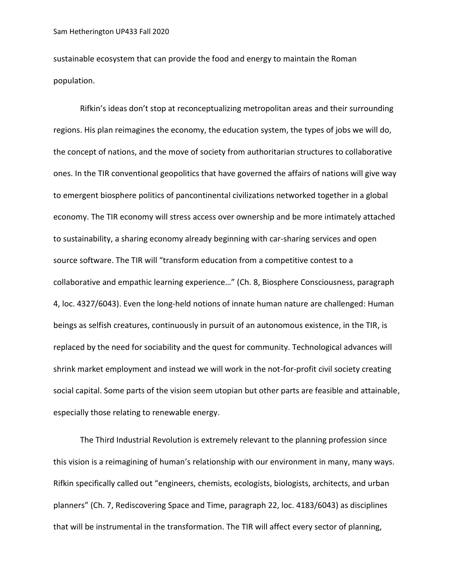sustainable ecosystem that can provide the food and energy to maintain the Roman population.

Rifkin's ideas don't stop at reconceptualizing metropolitan areas and their surrounding regions. His plan reimagines the economy, the education system, the types of jobs we will do, the concept of nations, and the move of society from authoritarian structures to collaborative ones. In the TIR conventional geopolitics that have governed the affairs of nations will give way to emergent biosphere politics of pancontinental civilizations networked together in a global economy. The TIR economy will stress access over ownership and be more intimately attached to sustainability, a sharing economy already beginning with car-sharing services and open source software. The TIR will "transform education from a competitive contest to a collaborative and empathic learning experience…" (Ch. 8, Biosphere Consciousness, paragraph 4, loc. 4327/6043). Even the long-held notions of innate human nature are challenged: Human beings as selfish creatures, continuously in pursuit of an autonomous existence, in the TIR, is replaced by the need for sociability and the quest for community. Technological advances will shrink market employment and instead we will work in the not-for-profit civil society creating social capital. Some parts of the vision seem utopian but other parts are feasible and attainable, especially those relating to renewable energy.

The Third Industrial Revolution is extremely relevant to the planning profession since this vision is a reimagining of human's relationship with our environment in many, many ways. Rifkin specifically called out "engineers, chemists, ecologists, biologists, architects, and urban planners" (Ch. 7, Rediscovering Space and Time, paragraph 22, loc. 4183/6043) as disciplines that will be instrumental in the transformation. The TIR will affect every sector of planning,